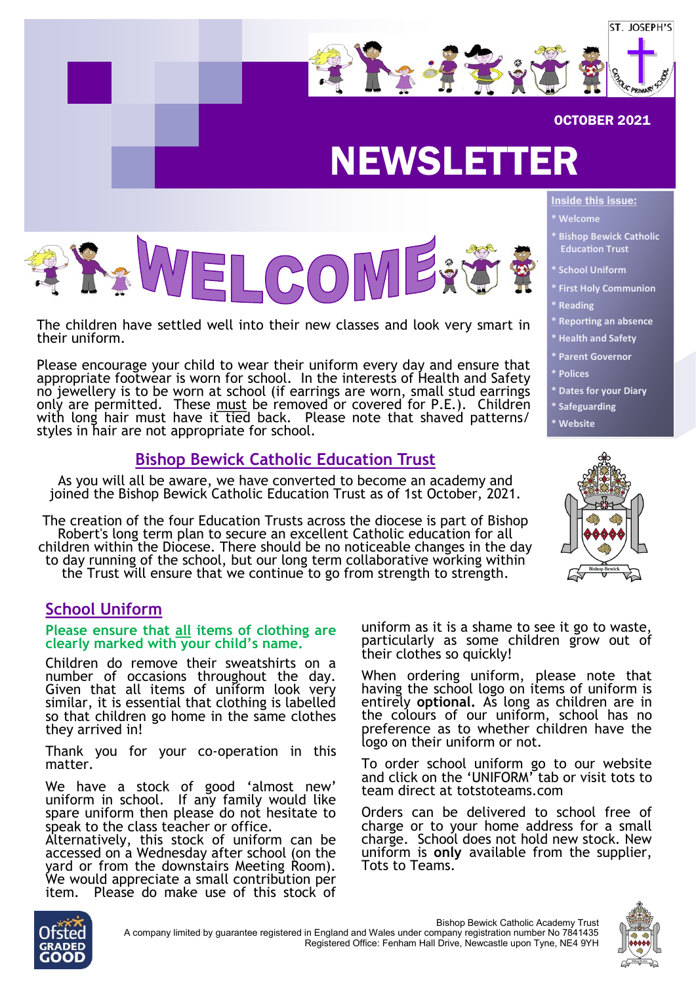

#### OCTOBER 2021

## NEWSLETTER



The children have settled well into their new classes and look very smart in their uniform.

Please encourage your child to wear their uniform every day and ensure that appropriate footwear is worn for school. In the interests of Health and Safety no jewellery is to be worn at school (if earrings are worn, small stud earrings only are permitted. These must be removed or covered for P.E.). Children with long hair must have it tied back. Please note that shaved patterns/ styles in hair are not appropriate for school.

#### **Bishop Bewick Catholic Education Trust**

As you will all be aware, we have converted to become an academy and joined the Bishop Bewick Catholic Education Trust as of 1st October, 2021.

The creation of the four Education Trusts across the diocese is part of Bishop Robert's long term plan to secure an excellent Catholic education for all children within the Diocese. There should be no noticeable changes in the day to day running of the school, but our long term collaborative working within the Trust will ensure that we continue to go from strength to strength.

#### **School Uniform**

#### **Please ensure that all items of clothing are clearly marked with your child's name.**

Children do remove their sweatshirts on a number of occasions throughout the day. Given that all items of uniform look very similar, it is essential that clothing is labelled so that children go home in the same clothes they arrived in!

Thank you for your co-operation in this matter.

We have a stock of good 'almost new' uniform in school. If any family would like spare uniform then please do not hesitate to speak to the class teacher or office.

Alternatively, this stock of uniform can be accessed on a Wednesday after school (on the yard or from the downstairs Meeting Room). We would appreciate a small contribution per item. Please do make use of this stock of

**\* Welcome**

Inside this issue:

- **\* Bishop Bewick Catholic Education Trust**
- **School Uniform**
- **\* First Holy Communion**
	- **\* Reading**
	- **\* Reporting an absence**
- **\* Health and Safety**
- **\* Parent Governor**
- **\* Polices**
- **\* Dates for your Diary**
- **\* Safeguarding**
- **\* Website**



uniform as it is a shame to see it go to waste, particularly as some children grow out of their clothes so quickly!

When ordering uniform, please note that having the school logo on items of uniform is entirely **optional.** As long as children are in the colours of our uniform, school has no preference as to whether children have the logo on their uniform or not.

To order school uniform go to our website and click on the 'UNIFORM' tab or visit tots to team direct at totstoteams.com

Orders can be delivered to school free of charge or to your home address for a small charge. School does not hold new stock. New uniform is **only** available from the supplier, Tots to Teams.





Bishop Bewick Catholic Academy Trust A company limited by guarantee registered in England and Wales under company registration number No 7841435 Registered Office: Fenham Hall Drive, Newcastle upon Tyne, NE4 9YH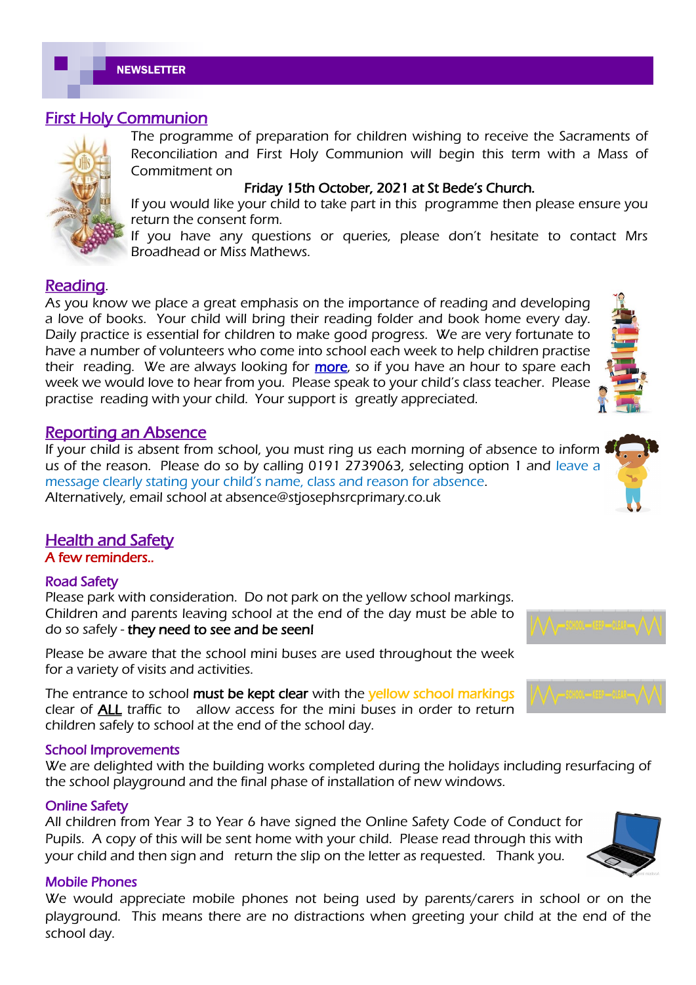#### First Holy Communion



The programme of preparation for children wishing to receive the Sacraments of Reconciliation and First Holy Communion will begin this term with a Mass of Commitment on

#### Friday 15th October, 2021 at St Bede's Church.

If you would like your child to take part in this programme then please ensure you return the consent form.

If you have any questions or queries, please don't hesitate to contact Mrs Broadhead or Miss Mathews.

#### Reading.

As you know we place a great emphasis on the importance of reading and developing a love of books. Your child will bring their reading folder and book home every day. Daily practice is essential for children to make good progress. We are very fortunate to have a number of volunteers who come into school each week to help children practise their reading. We are always looking for **more**, so if you have an hour to spare each week we would love to hear from you. Please speak to your child's class teacher. Please practise reading with your child. Your support is greatly appreciated.

#### Reporting an Absence

If your child is absent from school, you must ring us each morning of absence to inform us of the reason. Please do so by calling 0191 2739063, selecting option 1 and leave a message clearly stating your child's name, class and reason for absence. Alternatively, email school at absence@stjosephsrcprimary.co.uk

#### Health and Safety

A few reminders..

#### Road Safety

Please park with consideration. Do not park on the yellow school markings. Children and parents leaving school at the end of the day must be able to do so safely - they need to see and be seen!

Please be aware that the school mini buses are used throughout the week for a variety of visits and activities.

The entrance to school must be kept clear with the yellow school markings clear of ALL traffic to allow access for the mini buses in order to return children safely to school at the end of the school day.

#### School Improvements

We are delighted with the building works completed during the holidays including resurfacing of the school playground and the final phase of installation of new windows.

#### Online Safety

All children from Year 3 to Year 6 have signed the Online Safety Code of Conduct for Pupils. A copy of this will be sent home with your child. Please read through this with your child and then sign and return the slip on the letter as requested. Thank you.

#### Mobile Phones

We would appreciate mobile phones not being used by parents/carers in school or on the playground. This means there are no distractions when greeting your child at the end of the school day.